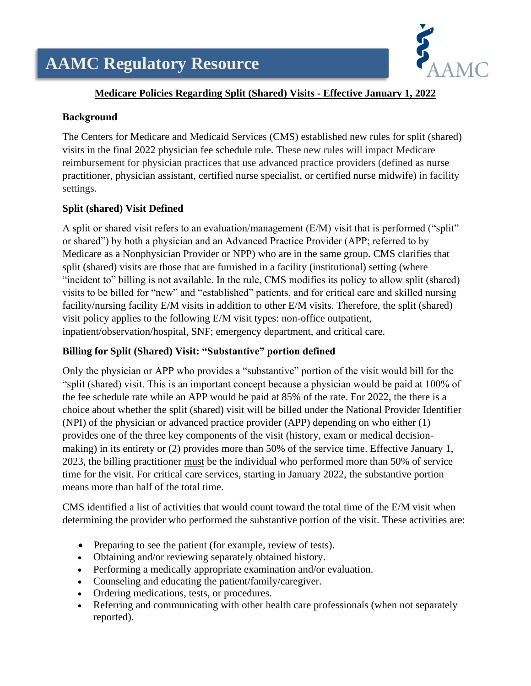# **AAMC Regulatory Resource**



### **Medicare Policies Regarding Split (Shared) Visits - Effective January 1, 2022**

#### **Background**

The Centers for Medicare and Medicaid Services (CMS) established new rules for split (shared) visits in the final 2022 physician fee schedule rule. These new rules will impact Medicare reimbursement for physician practices that use advanced practice providers (defined as nurse practitioner, physician assistant, certified nurse specialist, or certified nurse midwife) in facility settings.

### **Split (shared) Visit Defined**

A split or shared visit refers to an evaluation/management (E/M) visit that is performed ("split" or shared") by both a physician and an Advanced Practice Provider (APP; referred to by Medicare as a Nonphysician Provider or NPP) who are in the same group. CMS clarifies that split (shared) visits are those that are furnished in a facility (institutional) setting (where "incident to" billing is not available. In the rule, CMS modifies its policy to allow split (shared) visits to be billed for "new" and "established" patients, and for critical care and skilled nursing facility/nursing facility E/M visits in addition to other E/M visits. Therefore, the split (shared) visit policy applies to the following E/M visit types: non-office outpatient, inpatient/observation/hospital, SNF; emergency department, and critical care.

### **Billing for Split (Shared) Visit: "Substantive" portion defined**

Only the physician or APP who provides a "substantive" portion of the visit would bill for the "split (shared) visit. This is an important concept because a physician would be paid at 100% of the fee schedule rate while an APP would be paid at 85% of the rate. For 2022, the there is a choice about whether the split (shared) visit will be billed under the National Provider Identifier (NPI) of the physician or advanced practice provider (APP) depending on who either (1) provides one of the three key components of the visit (history, exam or medical decisionmaking) in its entirety or (2) provides more than 50% of the service time. Effective January 1, 2023, the billing practitioner must be the individual who performed more than 50% of service time for the visit. For critical care services, starting in January 2022, the substantive portion means more than half of the total time.

CMS identified a list of activities that would count toward the total time of the E/M visit when determining the provider who performed the substantive portion of the visit. These activities are:

- Preparing to see the patient (for example, review of tests).
- Obtaining and/or reviewing separately obtained history.
- Performing a medically appropriate examination and/or evaluation.
- Counseling and educating the patient/family/caregiver.
- Ordering medications, tests, or procedures.
- Referring and communicating with other health care professionals (when not separately reported).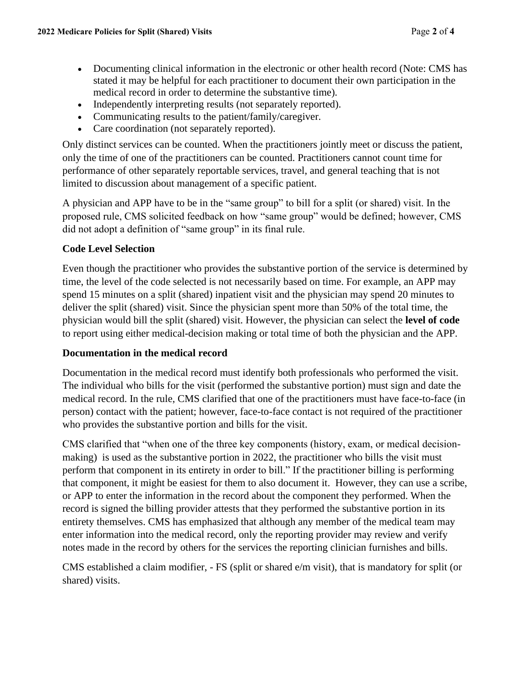- Documenting clinical information in the electronic or other health record (Note: CMS has stated it may be helpful for each practitioner to document their own participation in the medical record in order to determine the substantive time).
- Independently interpreting results (not separately reported).
- Communicating results to the patient/family/caregiver.
- Care coordination (not separately reported).

Only distinct services can be counted. When the practitioners jointly meet or discuss the patient, only the time of one of the practitioners can be counted. Practitioners cannot count time for performance of other separately reportable services, travel, and general teaching that is not limited to discussion about management of a specific patient.

A physician and APP have to be in the "same group" to bill for a split (or shared) visit. In the proposed rule, CMS solicited feedback on how "same group" would be defined; however, CMS did not adopt a definition of "same group" in its final rule.

## **Code Level Selection**

Even though the practitioner who provides the substantive portion of the service is determined by time, the level of the code selected is not necessarily based on time. For example, an APP may spend 15 minutes on a split (shared) inpatient visit and the physician may spend 20 minutes to deliver the split (shared) visit. Since the physician spent more than 50% of the total time, the physician would bill the split (shared) visit. However, the physician can select the **level of code** to report using either medical-decision making or total time of both the physician and the APP.

## **Documentation in the medical record**

Documentation in the medical record must identify both professionals who performed the visit. The individual who bills for the visit (performed the substantive portion) must sign and date the medical record. In the rule, CMS clarified that one of the practitioners must have face-to-face (in person) contact with the patient; however, face-to-face contact is not required of the practitioner who provides the substantive portion and bills for the visit.

CMS clarified that "when one of the three key components (history, exam, or medical decisionmaking) is used as the substantive portion in 2022, the practitioner who bills the visit must perform that component in its entirety in order to bill." If the practitioner billing is performing that component, it might be easiest for them to also document it. However, they can use a scribe, or APP to enter the information in the record about the component they performed. When the record is signed the billing provider attests that they performed the substantive portion in its entirety themselves. CMS has emphasized that although any member of the medical team may enter information into the medical record, only the reporting provider may review and verify notes made in the record by others for the services the reporting clinician furnishes and bills.

CMS established a claim modifier, - FS (split or shared e/m visit), that is mandatory for split (or shared) visits.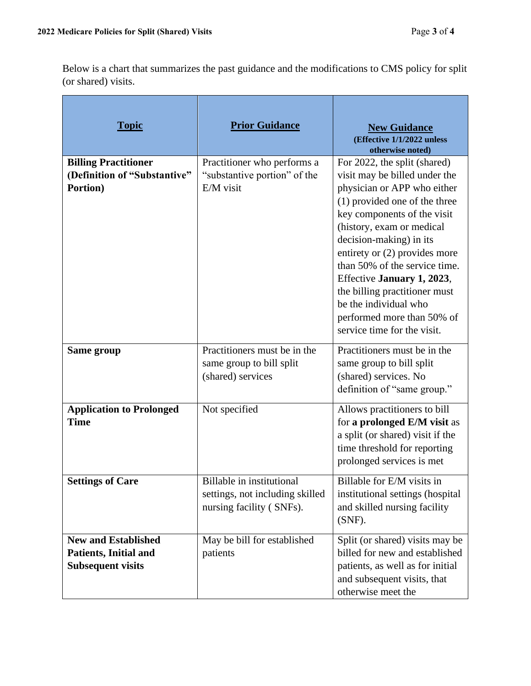Below is a chart that summarizes the past guidance and the modifications to CMS policy for split (or shared) visits.

| <b>Topic</b>                                                                           | <b>Prior Guidance</b>                                                                           | <b>New Guidance</b><br>(Effective 1/1/2022 unless<br>otherwise noted)                                                                                                                                                                                                                                                                                                                                                                         |
|----------------------------------------------------------------------------------------|-------------------------------------------------------------------------------------------------|-----------------------------------------------------------------------------------------------------------------------------------------------------------------------------------------------------------------------------------------------------------------------------------------------------------------------------------------------------------------------------------------------------------------------------------------------|
| <b>Billing Practitioner</b><br>(Definition of "Substantive"<br>Portion)                | Practitioner who performs a<br>"substantive portion" of the<br>$E/M$ visit                      | For 2022, the split (shared)<br>visit may be billed under the<br>physician or APP who either<br>(1) provided one of the three<br>key components of the visit<br>(history, exam or medical<br>decision-making) in its<br>entirety or $(2)$ provides more<br>than 50% of the service time.<br>Effective January 1, 2023,<br>the billing practitioner must<br>be the individual who<br>performed more than 50% of<br>service time for the visit. |
| Same group                                                                             | Practitioners must be in the<br>same group to bill split<br>(shared) services                   | Practitioners must be in the<br>same group to bill split<br>(shared) services. No<br>definition of "same group."                                                                                                                                                                                                                                                                                                                              |
| <b>Application to Prolonged</b><br><b>Time</b>                                         | Not specified                                                                                   | Allows practitioners to bill<br>for a prolonged E/M visit as<br>a split (or shared) visit if the<br>time threshold for reporting<br>prolonged services is met                                                                                                                                                                                                                                                                                 |
| <b>Settings of Care</b>                                                                | <b>Billable</b> in institutional<br>settings, not including skilled<br>nursing facility (SNFs). | Billable for E/M visits in<br>institutional settings (hospital<br>and skilled nursing facility<br>$(SNF)$ .                                                                                                                                                                                                                                                                                                                                   |
| <b>New and Established</b><br><b>Patients, Initial and</b><br><b>Subsequent visits</b> | May be bill for established<br>patients                                                         | Split (or shared) visits may be<br>billed for new and established<br>patients, as well as for initial<br>and subsequent visits, that<br>otherwise meet the                                                                                                                                                                                                                                                                                    |